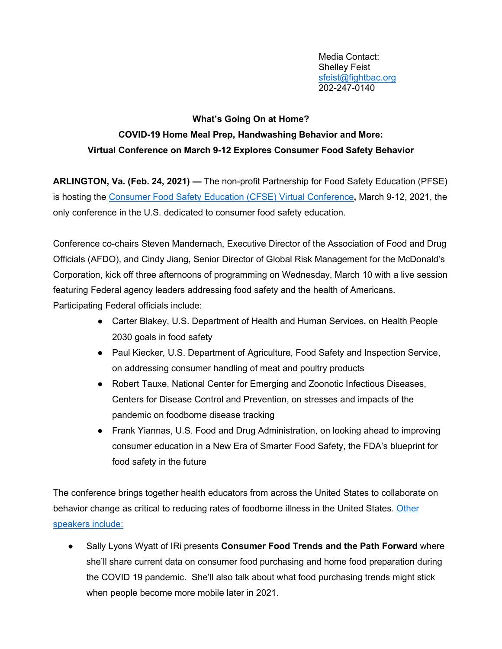Media Contact: Shelley Feist [sfeist@fightbac.org](mailto:sfeist@fightbac.org) 202-247-0140

## **What's Going On at Home?**

## **COVID-19 Home Meal Prep, Handwashing Behavior and More: Virtual Conference on March 9-12 Explores Consumer Food Safety Behavior**

**ARLINGTON, Va. (Feb. 24, 2021) —** The non-profit Partnership for Food Safety Education (PFSE) is hosting the [Consumer Food Safety Education \(CFSE\) Virtual Conference](http://www.fightbac.org/virtual)**,** March 9-12, 2021, the only conference in the U.S. dedicated to consumer food safety education.

Conference co-chairs Steven Mandernach, Executive Director of the Association of Food and Drug Officials (AFDO), and Cindy Jiang, Senior Director of Global Risk Management for the McDonald's Corporation, kick off three afternoons of programming on Wednesday, March 10 with a live session featuring Federal agency leaders addressing food safety and the health of Americans.

Participating Federal officials include:

- Carter Blakey, U.S. Department of Health and Human Services, on Health People 2030 goals in food safety
- Paul Kiecker*,* U.S. Department of Agriculture, Food Safety and Inspection Service, on addressing consumer handling of meat and poultry products
- Robert Tauxe, National Center for Emerging and Zoonotic Infectious Diseases, Centers for Disease Control and Prevention, on stresses and impacts of the pandemic on foodborne disease tracking
- Frank Yiannas, U.S*.* Food and Drug Administration, on looking ahead to improving consumer education in a New Era of Smarter Food Safety, the FDA's blueprint for food safety in the future

The conference brings together health educators from across the United States to collaborate on behavior change as critical to reducing rates of foodborne illness in the United States. Other [speakers include:](https://cfsec.swoogo.com/conference/Plenary-Sessions)

● Sally Lyons Wyatt of IRi presents **Consumer Food Trends and the Path Forward** where she'll share current data on consumer food purchasing and home food preparation during the COVID 19 pandemic. She'll also talk about what food purchasing trends might stick when people become more mobile later in 2021.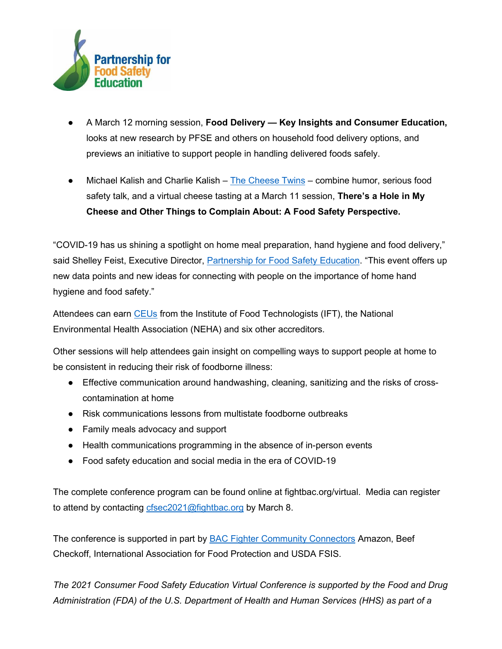

- A March 12 morning session, **Food Delivery — Key Insights and Consumer Education,**  looks at new research by PFSE and others on household food delivery options, and previews an initiative to support people in handling delivered foods safely.
- Michael Kalish and Charlie Kalish [The Cheese Twins](https://www.facebook.com/cheesetwins/) combine humor, serious food safety talk, and a virtual cheese tasting at a March 11 session, **There's a Hole in My Cheese and Other Things to Complain About: A Food Safety Perspective.**

"COVID-19 has us shining a spotlight on home meal preparation, hand hygiene and food delivery," said Shelley Feist, Executive Director, [Partnership for Food Safety Education.](about:blank) "This event offers up new data points and new ideas for connecting with people on the importance of home hand hygiene and food safety."

Attendees can earn [CEUs](https://cfsec.swoogo.com/conference/Earn-CEUs) from the Institute of Food Technologists (IFT), the National Environmental Health Association (NEHA) and six other accreditors.

Other sessions will help attendees gain insight on compelling ways to support people at home to be consistent in reducing their risk of foodborne illness:

- Effective communication around handwashing, cleaning, sanitizing and the risks of crosscontamination at home
- Risk communications lessons from multistate foodborne outbreaks
- Family meals advocacy and support
- Health communications programming in the absence of in-person events
- Food safety education and social media in the era of COVID-19

The complete conference program can be found online at fightbac.org/virtual. Media can register to attend by contacting [cfsec2021@fightbac.org](mailto:cfsec2021@fightbac.org) by March 8.

The conference is supported in part by **BAC Fighter Community Connectors Amazon**, Beef Checkoff, International Association for Food Protection and USDA FSIS.

*The 2021 Consumer Food Safety Education Virtual Conference is supported by the Food and Drug Administration (FDA) of the U.S. Department of Health and Human Services (HHS) as part of a*